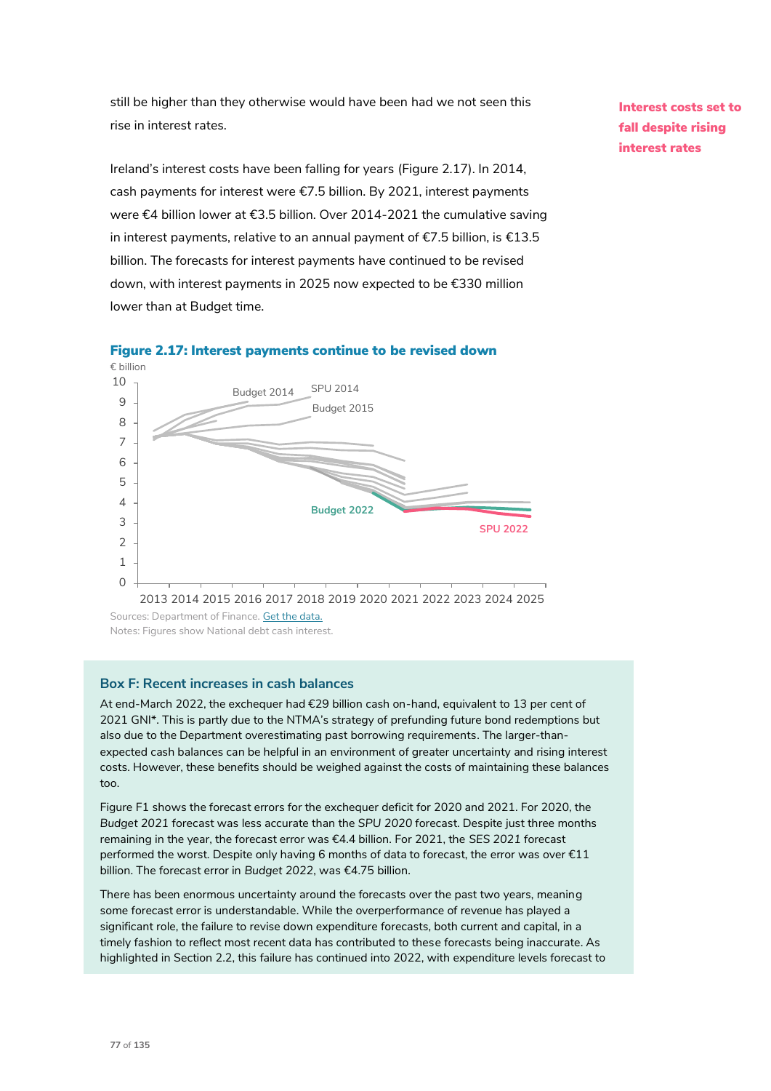still be higher than they otherwise would have been had we not seen this rise in interest rates.

Ireland's interest costs have been falling for years (Figure 2.17). In 2014, cash payments for interest were €7.5 billion. By 2021, interest payments were €4 billion lower at €3.5 billion. Over 2014-2021 the cumulative saving in interest payments, relative to an annual payment of €7.5 billion, is €13.5 billion. The forecasts for interest payments have continued to be revised down, with interest payments in 2025 now expected to be €330 million lower than at Budget time.

Interest costs set to fall despite rising interest rates



## Figure 2.17: Interest payments continue to be revised down

## **Box F: Recent increases in cash balances**

At end-March 2022, the exchequer had €29 billion cash on-hand, equivalent to 13 per cent of 2021 GNI\*. This is partly due to the NTMA's strategy of prefunding future bond redemptions but also due to the Department overestimating past borrowing requirements. The larger-thanexpected cash balances can be helpful in an environment of greater uncertainty and rising interest costs. However, these benefits should be weighed against the costs of maintaining these balances too.

Figure F1 shows the forecast errors for the exchequer deficit for 2020 and 2021. For 2020, the *Budget 2021* forecast was less accurate than the *SPU 2020* forecast. Despite just three months remaining in the year, the forecast error was €4.4 billion. For 2021, the *SES 2021* forecast performed the worst. Despite only having 6 months of data to forecast, the error was over €11 billion. The forecast error in *Budget 2022*, was €4.75 billion.

There has been enormous uncertainty around the forecasts over the past two years, meaning some forecast error is understandable. While the overperformance of revenue has played a significant role, the failure to revise down expenditure forecasts, both current and capital, in a timely fashion to reflect most recent data has contributed to these forecasts being inaccurate. As highlighted in Section 2.2, this failure has continued into 2022, with expenditure levels forecast to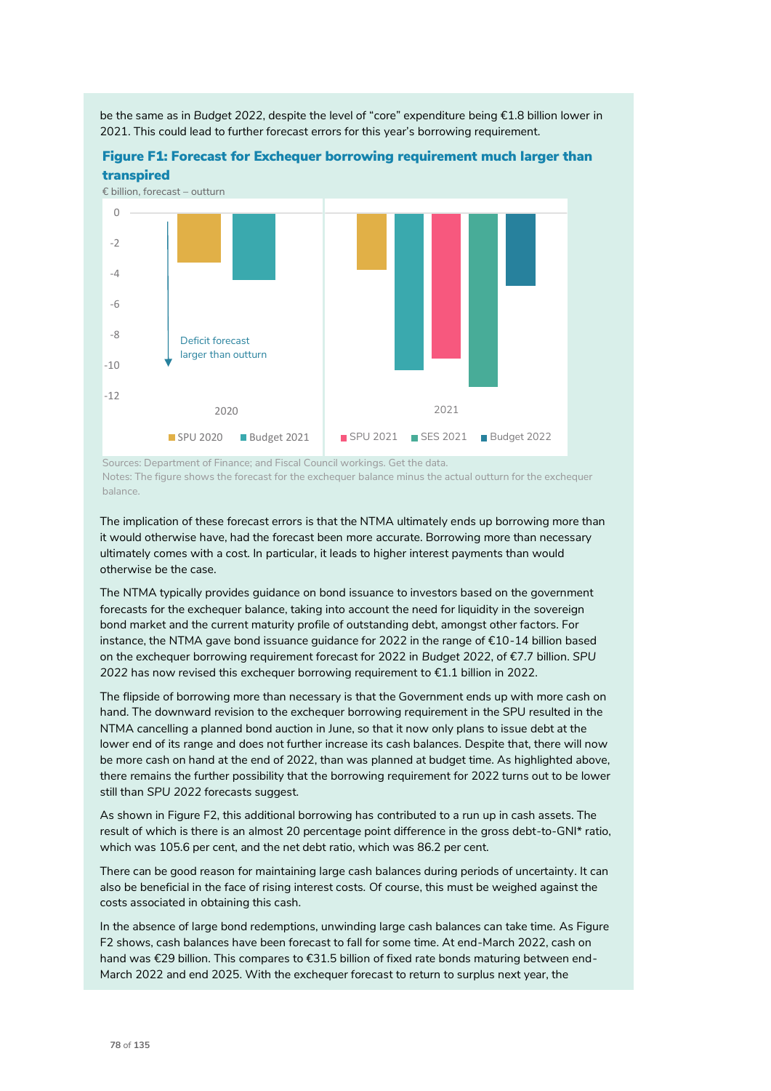

Figure F1: Forecast for Exchequer borrowing requirement much larger than

2021. This could lead to further forecast errors for this year's borrowing requirement.

be the same as in *Budget 2022*, despite the level of "core" expenditure being €1.8 billion lower in

Sources: Department of Finance; and Fiscal Council workings. Get the data. Notes: The figure shows the forecast for the exchequer balance minus the actual outturn for the exchequer balance.

The implication of these forecast errors is that the NTMA ultimately ends up borrowing more than it would otherwise have, had the forecast been more accurate. Borrowing more than necessary ultimately comes with a cost. In particular, it leads to higher interest payments than would otherwise be the case.

The NTMA typically provides guidance on bond issuance to investors based on the government forecasts for the exchequer balance, taking into account the need for liquidity in the sovereign bond market and the current maturity profile of outstanding debt, amongst other factors. For instance, the NTMA gave bond issuance guidance for 2022 in the range of €10-14 billion based on the exchequer borrowing requirement forecast for 2022 in *Budget 2022*, of €7.7 billion. *SPU 2022* has now revised this exchequer borrowing requirement to €1.1 billion in 2022.

The flipside of borrowing more than necessary is that the Government ends up with more cash on hand. The downward revision to the exchequer borrowing requirement in the SPU resulted in the NTMA cancelling a planned bond auction in June, so that it now only plans to issue debt at the lower end of its range and does not further increase its cash balances. Despite that, there will now be more cash on hand at the end of 2022, than was planned at budget time. As highlighted above, there remains the further possibility that the borrowing requirement for 2022 turns out to be lower still than *SPU 2022* forecasts suggest.

As shown in Figure F2, this additional borrowing has contributed to a run up in cash assets. The result of which is there is an almost 20 percentage point difference in the gross debt-to-GNI\* ratio, which was 105.6 per cent, and the net debt ratio, which was 86.2 per cent.

There can be good reason for maintaining large cash balances during periods of uncertainty. It can also be beneficial in the face of rising interest costs. Of course, this must be weighed against the costs associated in obtaining this cash.

In the absence of large bond redemptions, unwinding large cash balances can take time. As Figure F2 shows, cash balances have been forecast to fall for some time. At end-March 2022, cash on hand was €29 billion. This compares to €31.5 billion of fixed rate bonds maturing between end-March 2022 and end 2025. With the exchequer forecast to return to surplus next year, the